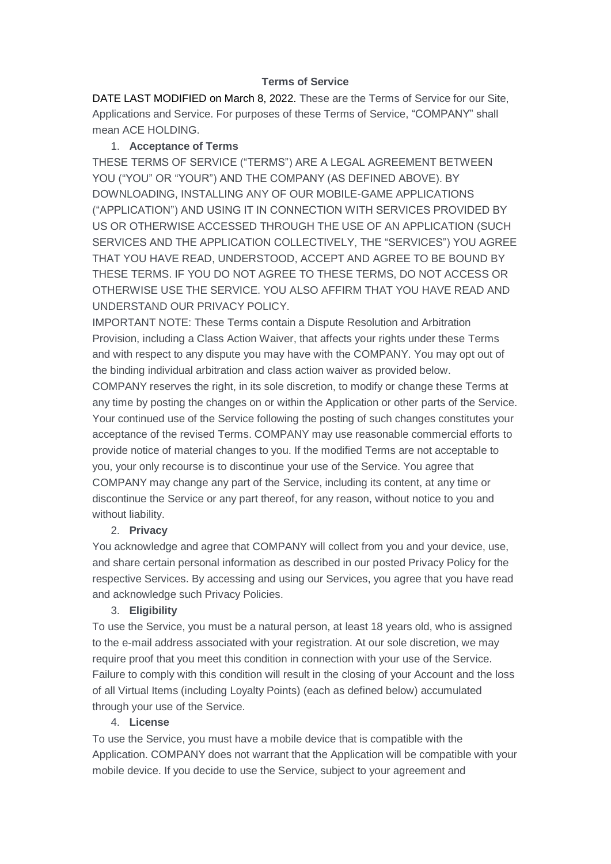## **Terms of Service**

DATE LAST MODIFIED on March 8, 2022. These are the Terms of Service for our Site, Applications and Service. For purposes of these Terms of Service, "COMPANY" shall mean ACE HOLDING.

## 1. **Acceptance of Terms**

THESE TERMS OF SERVICE ("TERMS") ARE A LEGAL AGREEMENT BETWEEN YOU ("YOU" OR "YOUR") AND THE COMPANY (AS DEFINED ABOVE). BY DOWNLOADING, INSTALLING ANY OF OUR MOBILE-GAME APPLICATIONS ("APPLICATION") AND USING IT IN CONNECTION WITH SERVICES PROVIDED BY US OR OTHERWISE ACCESSED THROUGH THE USE OF AN APPLICATION (SUCH SERVICES AND THE APPLICATION COLLECTIVELY, THE "SERVICES") YOU AGREE THAT YOU HAVE READ, UNDERSTOOD, ACCEPT AND AGREE TO BE BOUND BY THESE TERMS. IF YOU DO NOT AGREE TO THESE TERMS, DO NOT ACCESS OR OTHERWISE USE THE SERVICE. YOU ALSO AFFIRM THAT YOU HAVE READ AND UNDERSTAND OUR PRIVACY POLICY.

IMPORTANT NOTE: These Terms contain a Dispute Resolution and Arbitration Provision, including a Class Action Waiver, that affects your rights under these Terms and with respect to any dispute you may have with the COMPANY. You may opt out of the binding individual arbitration and class action waiver as provided below.

COMPANY reserves the right, in its sole discretion, to modify or change these Terms at any time by posting the changes on or within the Application or other parts of the Service. Your continued use of the Service following the posting of such changes constitutes your acceptance of the revised Terms. COMPANY may use reasonable commercial efforts to provide notice of material changes to you. If the modified Terms are not acceptable to you, your only recourse is to discontinue your use of the Service. You agree that COMPANY may change any part of the Service, including its content, at any time or discontinue the Service or any part thereof, for any reason, without notice to you and without liability.

# 2. **Privacy**

You acknowledge and agree that COMPANY will collect from you and your device, use, and share certain personal information as described in our posted Privacy Policy for the respective Services. By accessing and using our Services, you agree that you have read and acknowledge such Privacy Policies.

## 3. **Eligibility**

To use the Service, you must be a natural person, at least 18 years old, who is assigned to the e-mail address associated with your registration. At our sole discretion, we may require proof that you meet this condition in connection with your use of the Service. Failure to comply with this condition will result in the closing of your Account and the loss of all Virtual Items (including Loyalty Points) (each as defined below) accumulated through your use of the Service.

## 4. **License**

To use the Service, you must have a mobile device that is compatible with the Application. COMPANY does not warrant that the Application will be compatible with your mobile device. If you decide to use the Service, subject to your agreement and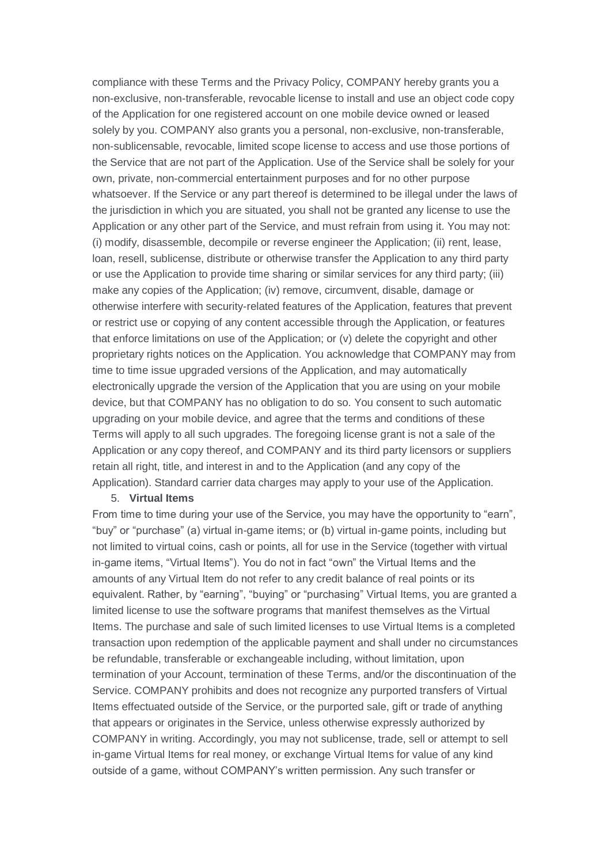compliance with these Terms and the Privacy Policy, COMPANY hereby grants you a non-exclusive, non-transferable, revocable license to install and use an object code copy of the Application for one registered account on one mobile device owned or leased solely by you. COMPANY also grants you a personal, non-exclusive, non-transferable, non-sublicensable, revocable, limited scope license to access and use those portions of the Service that are not part of the Application. Use of the Service shall be solely for your own, private, non-commercial entertainment purposes and for no other purpose whatsoever. If the Service or any part thereof is determined to be illegal under the laws of the jurisdiction in which you are situated, you shall not be granted any license to use the Application or any other part of the Service, and must refrain from using it. You may not: (i) modify, disassemble, decompile or reverse engineer the Application; (ii) rent, lease, loan, resell, sublicense, distribute or otherwise transfer the Application to any third party or use the Application to provide time sharing or similar services for any third party; (iii) make any copies of the Application; (iv) remove, circumvent, disable, damage or otherwise interfere with security-related features of the Application, features that prevent or restrict use or copying of any content accessible through the Application, or features that enforce limitations on use of the Application; or (v) delete the copyright and other proprietary rights notices on the Application. You acknowledge that COMPANY may from time to time issue upgraded versions of the Application, and may automatically electronically upgrade the version of the Application that you are using on your mobile device, but that COMPANY has no obligation to do so. You consent to such automatic upgrading on your mobile device, and agree that the terms and conditions of these Terms will apply to all such upgrades. The foregoing license grant is not a sale of the Application or any copy thereof, and COMPANY and its third party licensors or suppliers retain all right, title, and interest in and to the Application (and any copy of the Application). Standard carrier data charges may apply to your use of the Application.

#### 5. **Virtual Items**

From time to time during your use of the Service, you may have the opportunity to "earn", "buy" or "purchase" (a) virtual in-game items; or (b) virtual in-game points, including but not limited to virtual coins, cash or points, all for use in the Service (together with virtual in-game items, "Virtual Items"). You do not in fact "own" the Virtual Items and the amounts of any Virtual Item do not refer to any credit balance of real points or its equivalent. Rather, by "earning", "buying" or "purchasing" Virtual Items, you are granted a limited license to use the software programs that manifest themselves as the Virtual Items. The purchase and sale of such limited licenses to use Virtual Items is a completed transaction upon redemption of the applicable payment and shall under no circumstances be refundable, transferable or exchangeable including, without limitation, upon termination of your Account, termination of these Terms, and/or the discontinuation of the Service. COMPANY prohibits and does not recognize any purported transfers of Virtual Items effectuated outside of the Service, or the purported sale, gift or trade of anything that appears or originates in the Service, unless otherwise expressly authorized by COMPANY in writing. Accordingly, you may not sublicense, trade, sell or attempt to sell in-game Virtual Items for real money, or exchange Virtual Items for value of any kind outside of a game, without COMPANY's written permission. Any such transfer or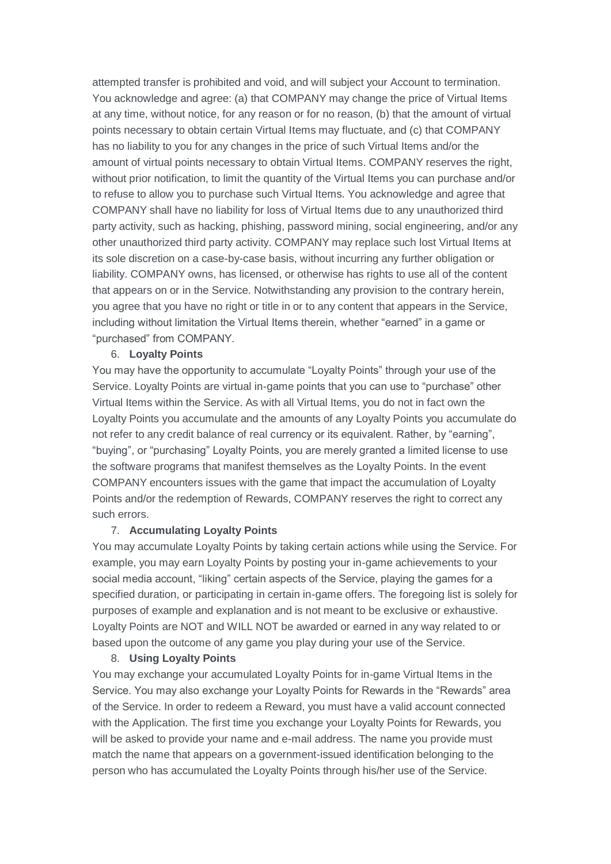attempted transfer is prohibited and void, and will subject your Account to termination. You acknowledge and agree: (a) that COMPANY may change the price of Virtual Items at any time, without notice, for any reason or for no reason, (b) that the amount of virtual points necessary to obtain certain Virtual Items may fluctuate, and (c) that COMPANY has no liability to you for any changes in the price of such Virtual Items and/or the amount of virtual points necessary to obtain Virtual Items. COMPANY reserves the right, without prior notification, to limit the quantity of the Virtual Items you can purchase and/or to refuse to allow you to purchase such Virtual Items. You acknowledge and agree that COMPANY shall have no liability for loss of Virtual Items due to any unauthorized third party activity, such as hacking, phishing, password mining, social engineering, and/or any other unauthorized third party activity. COMPANY may replace such lost Virtual Items at its sole discretion on a case-by-case basis, without incurring any further obligation or liability. COMPANY owns, has licensed, or otherwise has rights to use all of the content that appears on or in the Service. Notwithstanding any provision to the contrary herein, you agree that you have no right or title in or to any content that appears in the Service, including without limitation the Virtual Items therein, whether "earned" in a game or "purchased" from COMPANY.

#### 6. **Loyalty Points**

You may have the opportunity to accumulate "Loyalty Points" through your use of the Service. Loyalty Points are virtual in-game points that you can use to "purchase" other Virtual Items within the Service. As with all Virtual Items, you do not in fact own the Loyalty Points you accumulate and the amounts of any Loyalty Points you accumulate do not refer to any credit balance of real currency or its equivalent. Rather, by "earning", "buying", or "purchasing" Loyalty Points, you are merely granted a limited license to use the software programs that manifest themselves as the Loyalty Points. In the event COMPANY encounters issues with the game that impact the accumulation of Loyalty Points and/or the redemption of Rewards, COMPANY reserves the right to correct any such errors.

## 7. **Accumulating Loyalty Points**

You may accumulate Loyalty Points by taking certain actions while using the Service. For example, you may earn Loyalty Points by posting your in-game achievements to your social media account, "liking" certain aspects of the Service, playing the games for a specified duration, or participating in certain in-game offers. The foregoing list is solely for purposes of example and explanation and is not meant to be exclusive or exhaustive. Loyalty Points are NOT and WILL NOT be awarded or earned in any way related to or based upon the outcome of any game you play during your use of the Service.

### 8. **Using Loyalty Points**

You may exchange your accumulated Loyalty Points for in-game Virtual Items in the Service. You may also exchange your Loyalty Points for Rewards in the "Rewards" area of the Service. In order to redeem a Reward, you must have a valid account connected with the Application. The first time you exchange your Loyalty Points for Rewards, you will be asked to provide your name and e-mail address. The name you provide must match the name that appears on a government-issued identification belonging to the person who has accumulated the Loyalty Points through his/her use of the Service.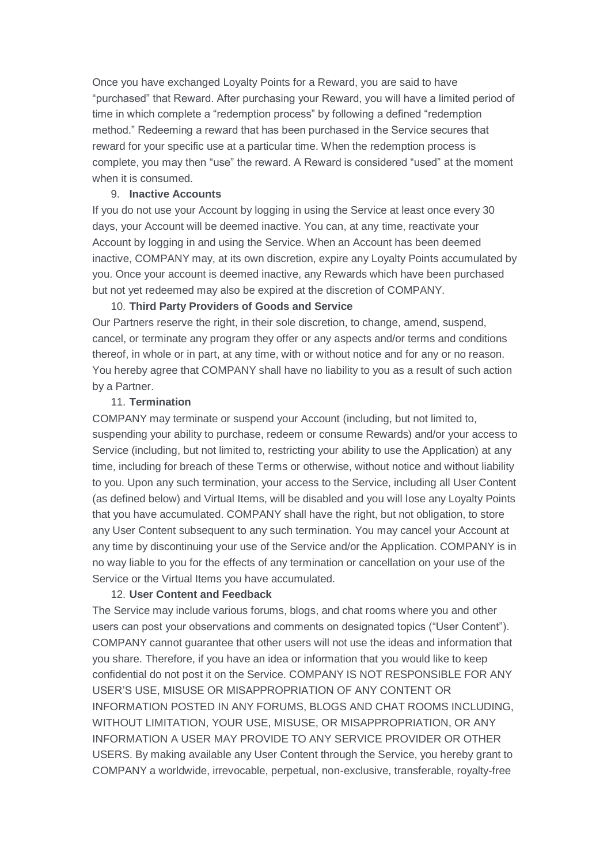Once you have exchanged Loyalty Points for a Reward, you are said to have "purchased" that Reward. After purchasing your Reward, you will have a limited period of time in which complete a "redemption process" by following a defined "redemption method." Redeeming a reward that has been purchased in the Service secures that reward for your specific use at a particular time. When the redemption process is complete, you may then "use" the reward. A Reward is considered "used" at the moment when it is consumed.

## 9. **Inactive Accounts**

If you do not use your Account by logging in using the Service at least once every 30 days, your Account will be deemed inactive. You can, at any time, reactivate your Account by logging in and using the Service. When an Account has been deemed inactive, COMPANY may, at its own discretion, expire any Loyalty Points accumulated by you. Once your account is deemed inactive, any Rewards which have been purchased but not yet redeemed may also be expired at the discretion of COMPANY.

## 10. **Third Party Providers of Goods and Service**

Our Partners reserve the right, in their sole discretion, to change, amend, suspend, cancel, or terminate any program they offer or any aspects and/or terms and conditions thereof, in whole or in part, at any time, with or without notice and for any or no reason. You hereby agree that COMPANY shall have no liability to you as a result of such action by a Partner.

## 11. **Termination**

COMPANY may terminate or suspend your Account (including, but not limited to, suspending your ability to purchase, redeem or consume Rewards) and/or your access to Service (including, but not limited to, restricting your ability to use the Application) at any time, including for breach of these Terms or otherwise, without notice and without liability to you. Upon any such termination, your access to the Service, including all User Content (as defined below) and Virtual Items, will be disabled and you will lose any Loyalty Points that you have accumulated. COMPANY shall have the right, but not obligation, to store any User Content subsequent to any such termination. You may cancel your Account at any time by discontinuing your use of the Service and/or the Application. COMPANY is in no way liable to you for the effects of any termination or cancellation on your use of the Service or the Virtual Items you have accumulated.

## 12. **User Content and Feedback**

The Service may include various forums, blogs, and chat rooms where you and other users can post your observations and comments on designated topics ("User Content"). COMPANY cannot guarantee that other users will not use the ideas and information that you share. Therefore, if you have an idea or information that you would like to keep confidential do not post it on the Service. COMPANY IS NOT RESPONSIBLE FOR ANY USER'S USE, MISUSE OR MISAPPROPRIATION OF ANY CONTENT OR INFORMATION POSTED IN ANY FORUMS, BLOGS AND CHAT ROOMS INCLUDING, WITHOUT LIMITATION, YOUR USE, MISUSE, OR MISAPPROPRIATION, OR ANY INFORMATION A USER MAY PROVIDE TO ANY SERVICE PROVIDER OR OTHER USERS. By making available any User Content through the Service, you hereby grant to COMPANY a worldwide, irrevocable, perpetual, non-exclusive, transferable, royalty-free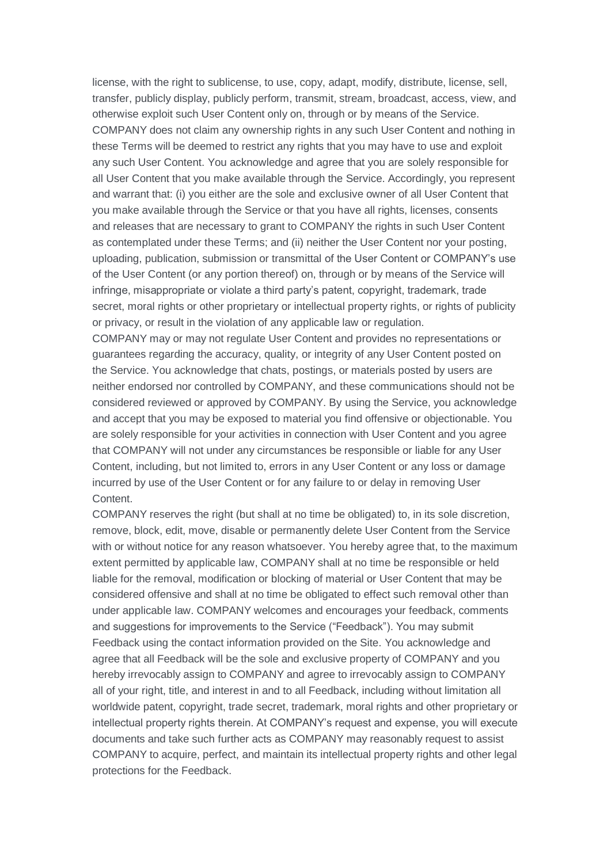license, with the right to sublicense, to use, copy, adapt, modify, distribute, license, sell, transfer, publicly display, publicly perform, transmit, stream, broadcast, access, view, and otherwise exploit such User Content only on, through or by means of the Service. COMPANY does not claim any ownership rights in any such User Content and nothing in these Terms will be deemed to restrict any rights that you may have to use and exploit any such User Content. You acknowledge and agree that you are solely responsible for all User Content that you make available through the Service. Accordingly, you represent and warrant that: (i) you either are the sole and exclusive owner of all User Content that you make available through the Service or that you have all rights, licenses, consents and releases that are necessary to grant to COMPANY the rights in such User Content as contemplated under these Terms; and (ii) neither the User Content nor your posting, uploading, publication, submission or transmittal of the User Content or COMPANY's use of the User Content (or any portion thereof) on, through or by means of the Service will infringe, misappropriate or violate a third party's patent, copyright, trademark, trade secret, moral rights or other proprietary or intellectual property rights, or rights of publicity or privacy, or result in the violation of any applicable law or regulation. COMPANY may or may not regulate User Content and provides no representations or guarantees regarding the accuracy, quality, or integrity of any User Content posted on

the Service. You acknowledge that chats, postings, or materials posted by users are neither endorsed nor controlled by COMPANY, and these communications should not be considered reviewed or approved by COMPANY. By using the Service, you acknowledge and accept that you may be exposed to material you find offensive or objectionable. You are solely responsible for your activities in connection with User Content and you agree that COMPANY will not under any circumstances be responsible or liable for any User Content, including, but not limited to, errors in any User Content or any loss or damage incurred by use of the User Content or for any failure to or delay in removing User Content.

COMPANY reserves the right (but shall at no time be obligated) to, in its sole discretion, remove, block, edit, move, disable or permanently delete User Content from the Service with or without notice for any reason whatsoever. You hereby agree that, to the maximum extent permitted by applicable law, COMPANY shall at no time be responsible or held liable for the removal, modification or blocking of material or User Content that may be considered offensive and shall at no time be obligated to effect such removal other than under applicable law. COMPANY welcomes and encourages your feedback, comments and suggestions for improvements to the Service ("Feedback"). You may submit Feedback using the contact information provided on the Site. You acknowledge and agree that all Feedback will be the sole and exclusive property of COMPANY and you hereby irrevocably assign to COMPANY and agree to irrevocably assign to COMPANY all of your right, title, and interest in and to all Feedback, including without limitation all worldwide patent, copyright, trade secret, trademark, moral rights and other proprietary or intellectual property rights therein. At COMPANY's request and expense, you will execute documents and take such further acts as COMPANY may reasonably request to assist COMPANY to acquire, perfect, and maintain its intellectual property rights and other legal protections for the Feedback.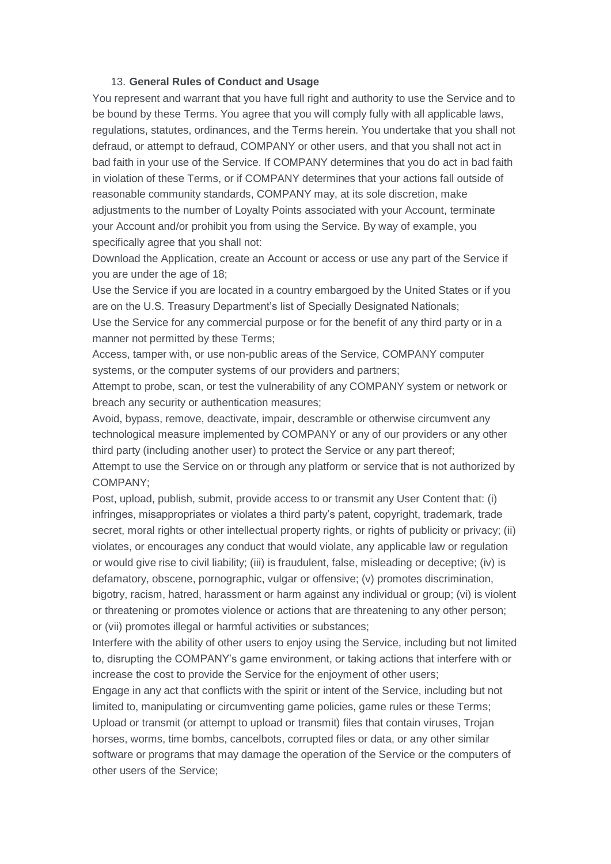### 13. **General Rules of Conduct and Usage**

You represent and warrant that you have full right and authority to use the Service and to be bound by these Terms. You agree that you will comply fully with all applicable laws, regulations, statutes, ordinances, and the Terms herein. You undertake that you shall not defraud, or attempt to defraud, COMPANY or other users, and that you shall not act in bad faith in your use of the Service. If COMPANY determines that you do act in bad faith in violation of these Terms, or if COMPANY determines that your actions fall outside of reasonable community standards, COMPANY may, at its sole discretion, make adjustments to the number of Loyalty Points associated with your Account, terminate your Account and/or prohibit you from using the Service. By way of example, you specifically agree that you shall not:

Download the Application, create an Account or access or use any part of the Service if you are under the age of 18;

Use the Service if you are located in a country embargoed by the United States or if you are on the U.S. Treasury Department's list of Specially Designated Nationals;

Use the Service for any commercial purpose or for the benefit of any third party or in a manner not permitted by these Terms;

Access, tamper with, or use non-public areas of the Service, COMPANY computer systems, or the computer systems of our providers and partners;

Attempt to probe, scan, or test the vulnerability of any COMPANY system or network or breach any security or authentication measures;

Avoid, bypass, remove, deactivate, impair, descramble or otherwise circumvent any technological measure implemented by COMPANY or any of our providers or any other third party (including another user) to protect the Service or any part thereof;

Attempt to use the Service on or through any platform or service that is not authorized by COMPANY;

Post, upload, publish, submit, provide access to or transmit any User Content that: (i) infringes, misappropriates or violates a third party's patent, copyright, trademark, trade secret, moral rights or other intellectual property rights, or rights of publicity or privacy; (ii) violates, or encourages any conduct that would violate, any applicable law or regulation or would give rise to civil liability; (iii) is fraudulent, false, misleading or deceptive; (iv) is defamatory, obscene, pornographic, vulgar or offensive; (v) promotes discrimination, bigotry, racism, hatred, harassment or harm against any individual or group; (vi) is violent or threatening or promotes violence or actions that are threatening to any other person; or (vii) promotes illegal or harmful activities or substances;

Interfere with the ability of other users to enjoy using the Service, including but not limited to, disrupting the COMPANY's game environment, or taking actions that interfere with or increase the cost to provide the Service for the enjoyment of other users;

Engage in any act that conflicts with the spirit or intent of the Service, including but not limited to, manipulating or circumventing game policies, game rules or these Terms; Upload or transmit (or attempt to upload or transmit) files that contain viruses, Trojan horses, worms, time bombs, cancelbots, corrupted files or data, or any other similar software or programs that may damage the operation of the Service or the computers of other users of the Service;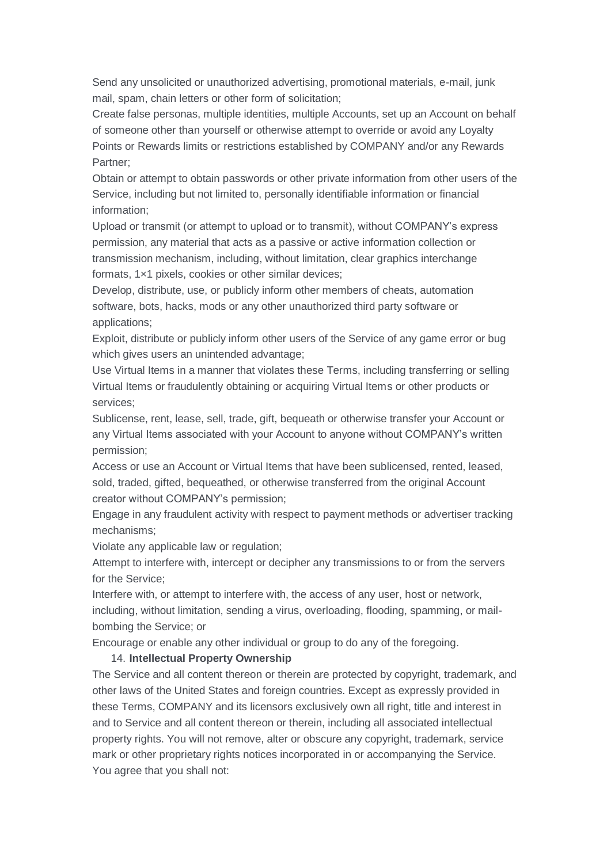Send any unsolicited or unauthorized advertising, promotional materials, e-mail, junk mail, spam, chain letters or other form of solicitation;

Create false personas, multiple identities, multiple Accounts, set up an Account on behalf of someone other than yourself or otherwise attempt to override or avoid any Loyalty Points or Rewards limits or restrictions established by COMPANY and/or any Rewards Partner;

Obtain or attempt to obtain passwords or other private information from other users of the Service, including but not limited to, personally identifiable information or financial information;

Upload or transmit (or attempt to upload or to transmit), without COMPANY's express permission, any material that acts as a passive or active information collection or transmission mechanism, including, without limitation, clear graphics interchange formats, 1×1 pixels, cookies or other similar devices;

Develop, distribute, use, or publicly inform other members of cheats, automation software, bots, hacks, mods or any other unauthorized third party software or applications;

Exploit, distribute or publicly inform other users of the Service of any game error or bug which gives users an unintended advantage;

Use Virtual Items in a manner that violates these Terms, including transferring or selling Virtual Items or fraudulently obtaining or acquiring Virtual Items or other products or services;

Sublicense, rent, lease, sell, trade, gift, bequeath or otherwise transfer your Account or any Virtual Items associated with your Account to anyone without COMPANY's written permission;

Access or use an Account or Virtual Items that have been sublicensed, rented, leased, sold, traded, gifted, bequeathed, or otherwise transferred from the original Account creator without COMPANY's permission;

Engage in any fraudulent activity with respect to payment methods or advertiser tracking mechanisms;

Violate any applicable law or regulation;

Attempt to interfere with, intercept or decipher any transmissions to or from the servers for the Service;

Interfere with, or attempt to interfere with, the access of any user, host or network, including, without limitation, sending a virus, overloading, flooding, spamming, or mailbombing the Service; or

Encourage or enable any other individual or group to do any of the foregoing.

## 14. **Intellectual Property Ownership**

The Service and all content thereon or therein are protected by copyright, trademark, and other laws of the United States and foreign countries. Except as expressly provided in these Terms, COMPANY and its licensors exclusively own all right, title and interest in and to Service and all content thereon or therein, including all associated intellectual property rights. You will not remove, alter or obscure any copyright, trademark, service mark or other proprietary rights notices incorporated in or accompanying the Service. You agree that you shall not: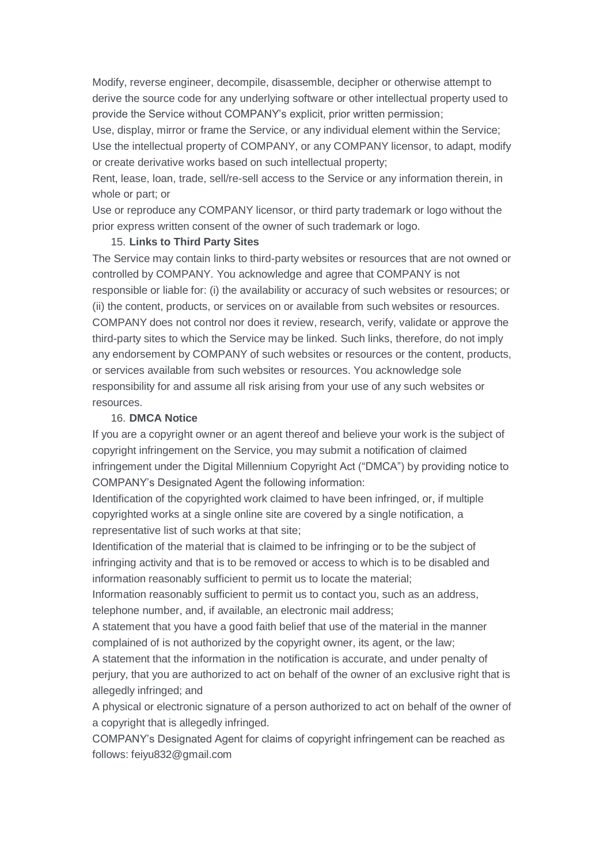Modify, reverse engineer, decompile, disassemble, decipher or otherwise attempt to derive the source code for any underlying software or other intellectual property used to provide the Service without COMPANY's explicit, prior written permission;

Use, display, mirror or frame the Service, or any individual element within the Service; Use the intellectual property of COMPANY, or any COMPANY licensor, to adapt, modify or create derivative works based on such intellectual property;

Rent, lease, loan, trade, sell/re-sell access to the Service or any information therein, in whole or part; or

Use or reproduce any COMPANY licensor, or third party trademark or logo without the prior express written consent of the owner of such trademark or logo.

## 15. **Links to Third Party Sites**

The Service may contain links to third-party websites or resources that are not owned or controlled by COMPANY. You acknowledge and agree that COMPANY is not responsible or liable for: (i) the availability or accuracy of such websites or resources; or (ii) the content, products, or services on or available from such websites or resources. COMPANY does not control nor does it review, research, verify, validate or approve the third-party sites to which the Service may be linked. Such links, therefore, do not imply any endorsement by COMPANY of such websites or resources or the content, products, or services available from such websites or resources. You acknowledge sole responsibility for and assume all risk arising from your use of any such websites or resources.

### 16. **DMCA Notice**

If you are a copyright owner or an agent thereof and believe your work is the subject of copyright infringement on the Service, you may submit a notification of claimed infringement under the Digital Millennium Copyright Act ("DMCA") by providing notice to COMPANY's Designated Agent the following information:

Identification of the copyrighted work claimed to have been infringed, or, if multiple copyrighted works at a single online site are covered by a single notification, a representative list of such works at that site;

Identification of the material that is claimed to be infringing or to be the subject of infringing activity and that is to be removed or access to which is to be disabled and information reasonably sufficient to permit us to locate the material;

Information reasonably sufficient to permit us to contact you, such as an address, telephone number, and, if available, an electronic mail address;

A statement that you have a good faith belief that use of the material in the manner complained of is not authorized by the copyright owner, its agent, or the law;

A statement that the information in the notification is accurate, and under penalty of perjury, that you are authorized to act on behalf of the owner of an exclusive right that is allegedly infringed; and

A physical or electronic signature of a person authorized to act on behalf of the owner of a copyright that is allegedly infringed.

COMPANY's Designated Agent for claims of copyright infringement can be reached as follows: feiyu832@gmail.com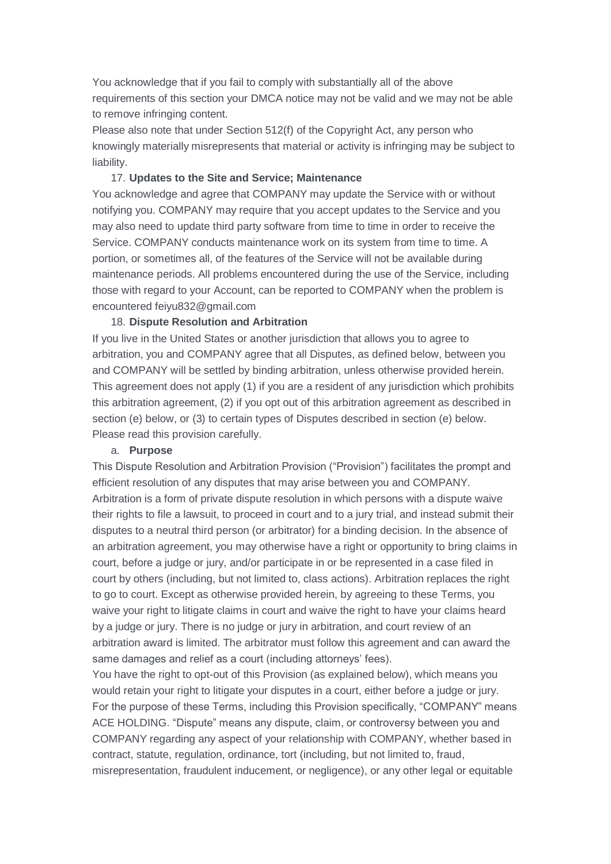You acknowledge that if you fail to comply with substantially all of the above requirements of this section your DMCA notice may not be valid and we may not be able to remove infringing content.

Please also note that under Section 512(f) of the Copyright Act, any person who knowingly materially misrepresents that material or activity is infringing may be subject to liability.

## 17. **Updates to the Site and Service; Maintenance**

You acknowledge and agree that COMPANY may update the Service with or without notifying you. COMPANY may require that you accept updates to the Service and you may also need to update third party software from time to time in order to receive the Service. COMPANY conducts maintenance work on its system from time to time. A portion, or sometimes all, of the features of the Service will not be available during maintenance periods. All problems encountered during the use of the Service, including those with regard to your Account, can be reported to COMPANY when the problem is encountered feiyu832@gmail.com

## 18. **Dispute Resolution and Arbitration**

If you live in the United States or another jurisdiction that allows you to agree to arbitration, you and COMPANY agree that all Disputes, as defined below, between you and COMPANY will be settled by binding arbitration, unless otherwise provided herein. This agreement does not apply (1) if you are a resident of any jurisdiction which prohibits this arbitration agreement, (2) if you opt out of this arbitration agreement as described in section (e) below, or (3) to certain types of Disputes described in section (e) below. Please read this provision carefully.

## a. **Purpose**

This Dispute Resolution and Arbitration Provision ("Provision") facilitates the prompt and efficient resolution of any disputes that may arise between you and COMPANY. Arbitration is a form of private dispute resolution in which persons with a dispute waive their rights to file a lawsuit, to proceed in court and to a jury trial, and instead submit their disputes to a neutral third person (or arbitrator) for a binding decision. In the absence of an arbitration agreement, you may otherwise have a right or opportunity to bring claims in court, before a judge or jury, and/or participate in or be represented in a case filed in court by others (including, but not limited to, class actions). Arbitration replaces the right to go to court. Except as otherwise provided herein, by agreeing to these Terms, you waive your right to litigate claims in court and waive the right to have your claims heard by a judge or jury. There is no judge or jury in arbitration, and court review of an arbitration award is limited. The arbitrator must follow this agreement and can award the same damages and relief as a court (including attorneys' fees).

You have the right to opt-out of this Provision (as explained below), which means you would retain your right to litigate your disputes in a court, either before a judge or jury. For the purpose of these Terms, including this Provision specifically, "COMPANY" means ACE HOLDING. "Dispute" means any dispute, claim, or controversy between you and COMPANY regarding any aspect of your relationship with COMPANY, whether based in contract, statute, regulation, ordinance, tort (including, but not limited to, fraud, misrepresentation, fraudulent inducement, or negligence), or any other legal or equitable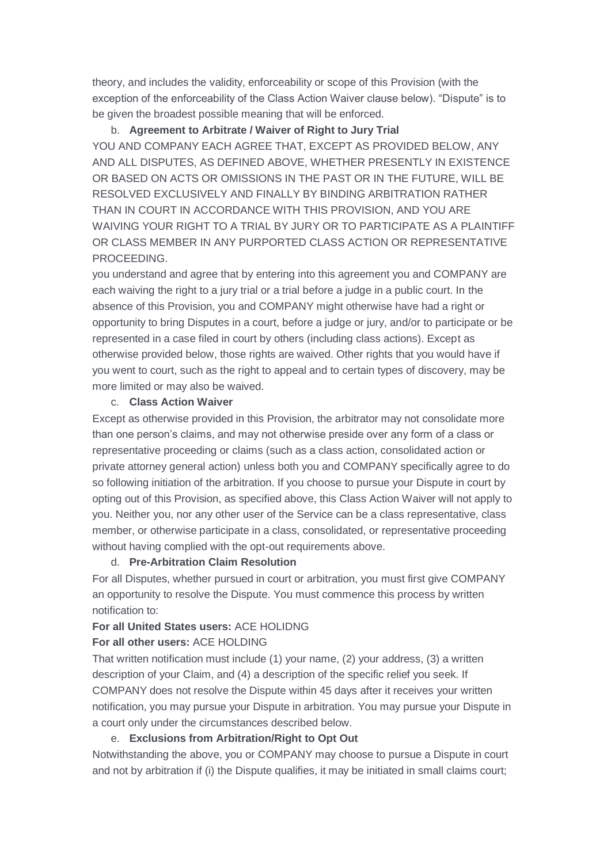theory, and includes the validity, enforceability or scope of this Provision (with the exception of the enforceability of the Class Action Waiver clause below). "Dispute" is to be given the broadest possible meaning that will be enforced.

# b. **Agreement to Arbitrate / Waiver of Right to Jury Trial**

YOU AND COMPANY EACH AGREE THAT, EXCEPT AS PROVIDED BELOW, ANY AND ALL DISPUTES, AS DEFINED ABOVE, WHETHER PRESENTLY IN EXISTENCE OR BASED ON ACTS OR OMISSIONS IN THE PAST OR IN THE FUTURE, WILL BE RESOLVED EXCLUSIVELY AND FINALLY BY BINDING ARBITRATION RATHER THAN IN COURT IN ACCORDANCE WITH THIS PROVISION, AND YOU ARE WAIVING YOUR RIGHT TO A TRIAL BY JURY OR TO PARTICIPATE AS A PLAINTIFF OR CLASS MEMBER IN ANY PURPORTED CLASS ACTION OR REPRESENTATIVE PROCEEDING.

you understand and agree that by entering into this agreement you and COMPANY are each waiving the right to a jury trial or a trial before a judge in a public court. In the absence of this Provision, you and COMPANY might otherwise have had a right or opportunity to bring Disputes in a court, before a judge or jury, and/or to participate or be represented in a case filed in court by others (including class actions). Except as otherwise provided below, those rights are waived. Other rights that you would have if you went to court, such as the right to appeal and to certain types of discovery, may be more limited or may also be waived.

## c. **Class Action Waiver**

Except as otherwise provided in this Provision, the arbitrator may not consolidate more than one person's claims, and may not otherwise preside over any form of a class or representative proceeding or claims (such as a class action, consolidated action or private attorney general action) unless both you and COMPANY specifically agree to do so following initiation of the arbitration. If you choose to pursue your Dispute in court by opting out of this Provision, as specified above, this Class Action Waiver will not apply to you. Neither you, nor any other user of the Service can be a class representative, class member, or otherwise participate in a class, consolidated, or representative proceeding without having complied with the opt-out requirements above.

## d. **Pre-Arbitration Claim Resolution**

For all Disputes, whether pursued in court or arbitration, you must first give COMPANY an opportunity to resolve the Dispute. You must commence this process by written notification to:

# **For all United States users:** ACE HOLIDNG

# **For all other users:** ACE HOLDING

That written notification must include (1) your name, (2) your address, (3) a written description of your Claim, and (4) a description of the specific relief you seek. If COMPANY does not resolve the Dispute within 45 days after it receives your written notification, you may pursue your Dispute in arbitration. You may pursue your Dispute in a court only under the circumstances described below.

# e. **Exclusions from Arbitration/Right to Opt Out**

Notwithstanding the above, you or COMPANY may choose to pursue a Dispute in court and not by arbitration if (i) the Dispute qualifies, it may be initiated in small claims court;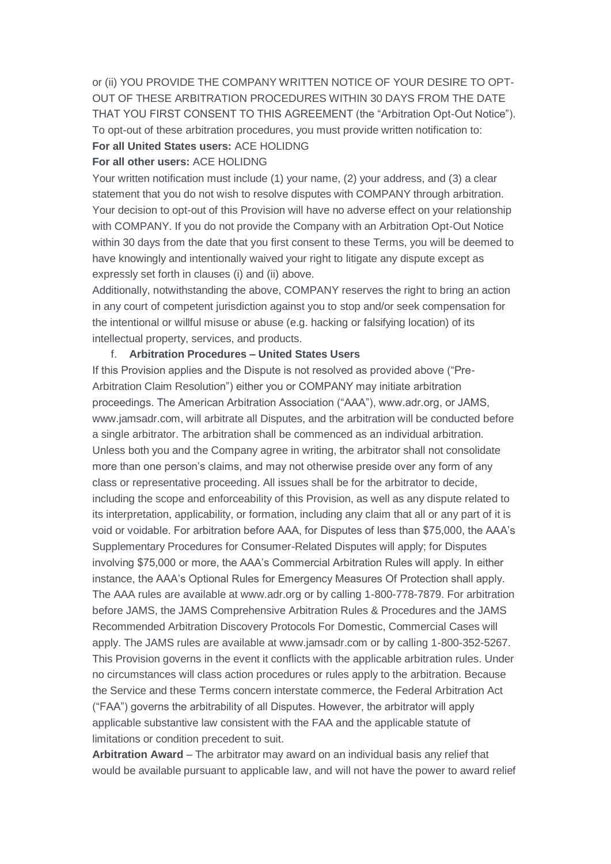or (ii) YOU PROVIDE THE COMPANY WRITTEN NOTICE OF YOUR DESIRE TO OPT-OUT OF THESE ARBITRATION PROCEDURES WITHIN 30 DAYS FROM THE DATE THAT YOU FIRST CONSENT TO THIS AGREEMENT (the "Arbitration Opt-Out Notice"). To opt-out of these arbitration procedures, you must provide written notification to: **For all United States users:** ACE HOLIDNG

## **For all other users:** ACE HOLIDNG

Your written notification must include (1) your name, (2) your address, and (3) a clear statement that you do not wish to resolve disputes with COMPANY through arbitration. Your decision to opt-out of this Provision will have no adverse effect on your relationship with COMPANY. If you do not provide the Company with an Arbitration Opt-Out Notice within 30 days from the date that you first consent to these Terms, you will be deemed to have knowingly and intentionally waived your right to litigate any dispute except as expressly set forth in clauses (i) and (ii) above.

Additionally, notwithstanding the above, COMPANY reserves the right to bring an action in any court of competent jurisdiction against you to stop and/or seek compensation for the intentional or willful misuse or abuse (e.g. hacking or falsifying location) of its intellectual property, services, and products.

### f. **Arbitration Procedures – United States Users**

If this Provision applies and the Dispute is not resolved as provided above ("Pre-Arbitration Claim Resolution") either you or COMPANY may initiate arbitration proceedings. The American Arbitration Association ("AAA"), www.adr.org, or JAMS, www.jamsadr.com, will arbitrate all Disputes, and the arbitration will be conducted before a single arbitrator. The arbitration shall be commenced as an individual arbitration. Unless both you and the Company agree in writing, the arbitrator shall not consolidate more than one person's claims, and may not otherwise preside over any form of any class or representative proceeding. All issues shall be for the arbitrator to decide, including the scope and enforceability of this Provision, as well as any dispute related to its interpretation, applicability, or formation, including any claim that all or any part of it is void or voidable. For arbitration before AAA, for Disputes of less than \$75,000, the AAA's Supplementary Procedures for Consumer-Related Disputes will apply; for Disputes involving \$75,000 or more, the AAA's Commercial Arbitration Rules will apply. In either instance, the AAA's Optional Rules for Emergency Measures Of Protection shall apply. The AAA rules are available at www.adr.org or by calling 1-800-778-7879. For arbitration before JAMS, the JAMS Comprehensive Arbitration Rules & Procedures and the JAMS Recommended Arbitration Discovery Protocols For Domestic, Commercial Cases will apply. The JAMS rules are available at www.jamsadr.com or by calling 1-800-352-5267. This Provision governs in the event it conflicts with the applicable arbitration rules. Under no circumstances will class action procedures or rules apply to the arbitration. Because the Service and these Terms concern interstate commerce, the Federal Arbitration Act ("FAA") governs the arbitrability of all Disputes. However, the arbitrator will apply applicable substantive law consistent with the FAA and the applicable statute of limitations or condition precedent to suit.

**Arbitration Award** – The arbitrator may award on an individual basis any relief that would be available pursuant to applicable law, and will not have the power to award relief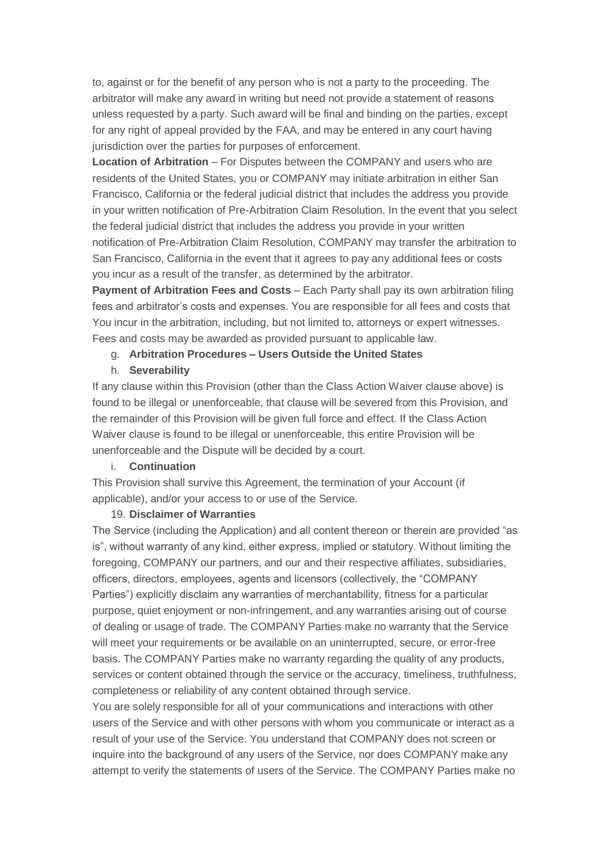to, against or for the benefit of any person who is not a party to the proceeding. The arbitrator will make any award in writing but need not provide a statement of reasons unless requested by a party. Such award will be final and binding on the parties, except for any right of appeal provided by the FAA, and may be entered in any court having jurisdiction over the parties for purposes of enforcement.

**Location of Arbitration** – For Disputes between the COMPANY and users who are residents of the United States, you or COMPANY may initiate arbitration in either San Francisco, California or the federal judicial district that includes the address you provide in your written notification of Pre-Arbitration Claim Resolution. In the event that you select the federal judicial district that includes the address you provide in your written notification of Pre-Arbitration Claim Resolution, COMPANY may transfer the arbitration to San Francisco, California in the event that it agrees to pay any additional fees or costs you incur as a result of the transfer, as determined by the arbitrator.

**Payment of Arbitration Fees and Costs** – Each Party shall pay its own arbitration filing fees and arbitrator's costs and expenses. You are responsible for all fees and costs that You incur in the arbitration, including, but not limited to, attorneys or expert witnesses. Fees and costs may be awarded as provided pursuant to applicable law.

#### g. **Arbitration Procedures – Users Outside the United States**

#### h. **Severability**

If any clause within this Provision (other than the Class Action Waiver clause above) is found to be illegal or unenforceable, that clause will be severed from this Provision, and the remainder of this Provision will be given full force and effect. If the Class Action Waiver clause is found to be illegal or unenforceable, this entire Provision will be unenforceable and the Dispute will be decided by a court.

## i. **Continuation**

This Provision shall survive this Agreement, the termination of your Account (if applicable), and/or your access to or use of the Service.

### 19. **Disclaimer of Warranties**

The Service (including the Application) and all content thereon or therein are provided "as is", without warranty of any kind, either express, implied or statutory. Without limiting the foregoing, COMPANY our partners, and our and their respective affiliates, subsidiaries, officers, directors, employees, agents and licensors (collectively, the "COMPANY Parties") explicitly disclaim any warranties of merchantability, fitness for a particular purpose, quiet enjoyment or non-infringement, and any warranties arising out of course of dealing or usage of trade. The COMPANY Parties make no warranty that the Service will meet your requirements or be available on an uninterrupted, secure, or error-free basis. The COMPANY Parties make no warranty regarding the quality of any products, services or content obtained through the service or the accuracy, timeliness, truthfulness, completeness or reliability of any content obtained through service.

You are solely responsible for all of your communications and interactions with other users of the Service and with other persons with whom you communicate or interact as a result of your use of the Service. You understand that COMPANY does not screen or inquire into the background of any users of the Service, nor does COMPANY make any attempt to verify the statements of users of the Service. The COMPANY Parties make no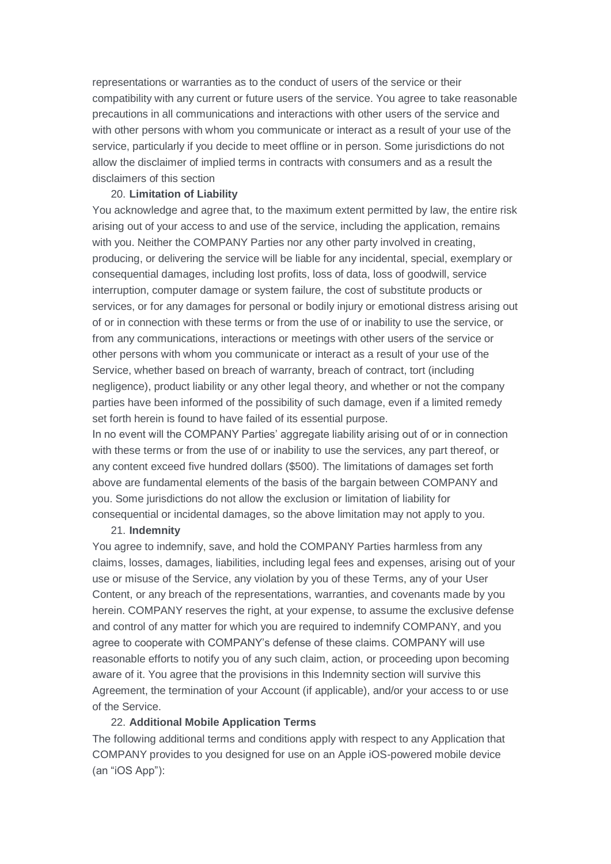representations or warranties as to the conduct of users of the service or their compatibility with any current or future users of the service. You agree to take reasonable precautions in all communications and interactions with other users of the service and with other persons with whom you communicate or interact as a result of your use of the service, particularly if you decide to meet offline or in person. Some jurisdictions do not allow the disclaimer of implied terms in contracts with consumers and as a result the disclaimers of this section

## 20. **Limitation of Liability**

You acknowledge and agree that, to the maximum extent permitted by law, the entire risk arising out of your access to and use of the service, including the application, remains with you. Neither the COMPANY Parties nor any other party involved in creating, producing, or delivering the service will be liable for any incidental, special, exemplary or consequential damages, including lost profits, loss of data, loss of goodwill, service interruption, computer damage or system failure, the cost of substitute products or services, or for any damages for personal or bodily injury or emotional distress arising out of or in connection with these terms or from the use of or inability to use the service, or from any communications, interactions or meetings with other users of the service or other persons with whom you communicate or interact as a result of your use of the Service, whether based on breach of warranty, breach of contract, tort (including negligence), product liability or any other legal theory, and whether or not the company parties have been informed of the possibility of such damage, even if a limited remedy set forth herein is found to have failed of its essential purpose.

In no event will the COMPANY Parties' aggregate liability arising out of or in connection with these terms or from the use of or inability to use the services, any part thereof, or any content exceed five hundred dollars (\$500). The limitations of damages set forth above are fundamental elements of the basis of the bargain between COMPANY and you. Some jurisdictions do not allow the exclusion or limitation of liability for consequential or incidental damages, so the above limitation may not apply to you.

#### 21. **Indemnity**

You agree to indemnify, save, and hold the COMPANY Parties harmless from any claims, losses, damages, liabilities, including legal fees and expenses, arising out of your use or misuse of the Service, any violation by you of these Terms, any of your User Content, or any breach of the representations, warranties, and covenants made by you herein. COMPANY reserves the right, at your expense, to assume the exclusive defense and control of any matter for which you are required to indemnify COMPANY, and you agree to cooperate with COMPANY's defense of these claims. COMPANY will use reasonable efforts to notify you of any such claim, action, or proceeding upon becoming aware of it. You agree that the provisions in this Indemnity section will survive this Agreement, the termination of your Account (if applicable), and/or your access to or use of the Service.

## 22. **Additional Mobile Application Terms**

The following additional terms and conditions apply with respect to any Application that COMPANY provides to you designed for use on an Apple iOS-powered mobile device (an "iOS App"):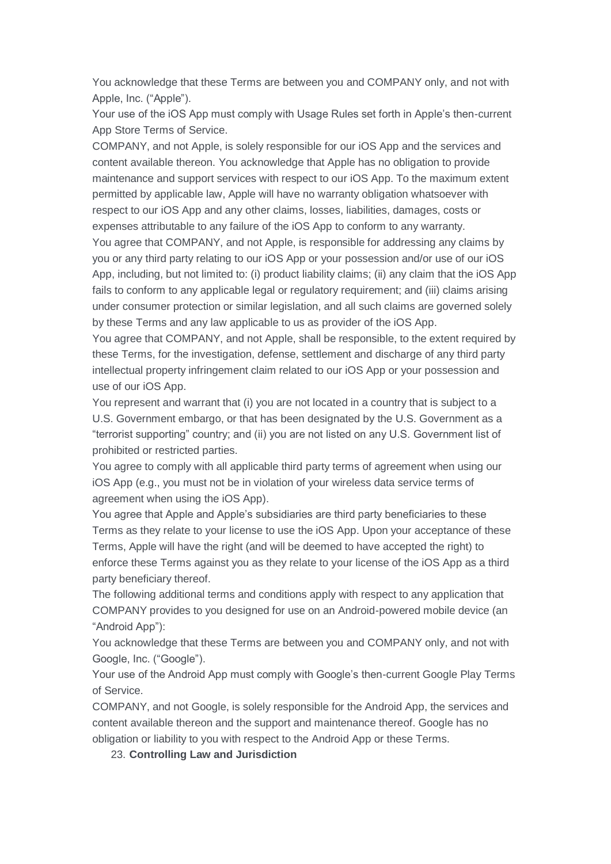You acknowledge that these Terms are between you and COMPANY only, and not with Apple, Inc. ("Apple").

Your use of the iOS App must comply with Usage Rules set forth in Apple's then-current App Store Terms of Service.

COMPANY, and not Apple, is solely responsible for our iOS App and the services and content available thereon. You acknowledge that Apple has no obligation to provide maintenance and support services with respect to our iOS App. To the maximum extent permitted by applicable law, Apple will have no warranty obligation whatsoever with respect to our iOS App and any other claims, losses, liabilities, damages, costs or expenses attributable to any failure of the iOS App to conform to any warranty.

You agree that COMPANY, and not Apple, is responsible for addressing any claims by you or any third party relating to our iOS App or your possession and/or use of our iOS App, including, but not limited to: (i) product liability claims; (ii) any claim that the iOS App fails to conform to any applicable legal or regulatory requirement; and (iii) claims arising under consumer protection or similar legislation, and all such claims are governed solely by these Terms and any law applicable to us as provider of the iOS App.

You agree that COMPANY, and not Apple, shall be responsible, to the extent required by these Terms, for the investigation, defense, settlement and discharge of any third party intellectual property infringement claim related to our iOS App or your possession and use of our iOS App.

You represent and warrant that (i) you are not located in a country that is subject to a U.S. Government embargo, or that has been designated by the U.S. Government as a "terrorist supporting" country; and (ii) you are not listed on any U.S. Government list of prohibited or restricted parties.

You agree to comply with all applicable third party terms of agreement when using our iOS App (e.g., you must not be in violation of your wireless data service terms of agreement when using the iOS App).

You agree that Apple and Apple's subsidiaries are third party beneficiaries to these Terms as they relate to your license to use the iOS App. Upon your acceptance of these Terms, Apple will have the right (and will be deemed to have accepted the right) to enforce these Terms against you as they relate to your license of the iOS App as a third party beneficiary thereof.

The following additional terms and conditions apply with respect to any application that COMPANY provides to you designed for use on an Android-powered mobile device (an "Android App"):

You acknowledge that these Terms are between you and COMPANY only, and not with Google, Inc. ("Google").

Your use of the Android App must comply with Google's then-current Google Play Terms of Service.

COMPANY, and not Google, is solely responsible for the Android App, the services and content available thereon and the support and maintenance thereof. Google has no obligation or liability to you with respect to the Android App or these Terms.

23. **Controlling Law and Jurisdiction**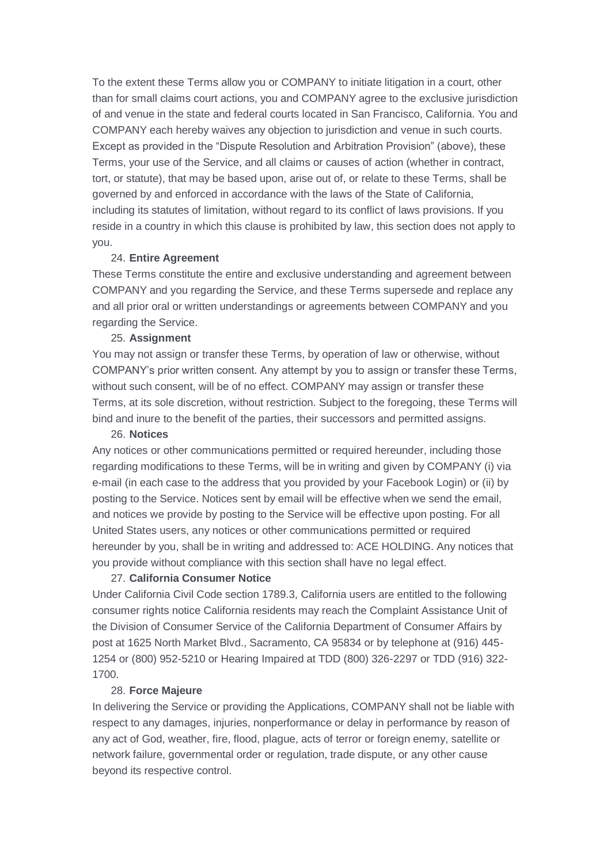To the extent these Terms allow you or COMPANY to initiate litigation in a court, other than for small claims court actions, you and COMPANY agree to the exclusive jurisdiction of and venue in the state and federal courts located in San Francisco, California. You and COMPANY each hereby waives any objection to jurisdiction and venue in such courts. Except as provided in the "Dispute Resolution and Arbitration Provision" (above), these Terms, your use of the Service, and all claims or causes of action (whether in contract, tort, or statute), that may be based upon, arise out of, or relate to these Terms, shall be governed by and enforced in accordance with the laws of the State of California, including its statutes of limitation, without regard to its conflict of laws provisions. If you reside in a country in which this clause is prohibited by law, this section does not apply to you.

## 24. **Entire Agreement**

These Terms constitute the entire and exclusive understanding and agreement between COMPANY and you regarding the Service, and these Terms supersede and replace any and all prior oral or written understandings or agreements between COMPANY and you regarding the Service.

#### 25. **Assignment**

You may not assign or transfer these Terms, by operation of law or otherwise, without COMPANY's prior written consent. Any attempt by you to assign or transfer these Terms, without such consent, will be of no effect. COMPANY may assign or transfer these Terms, at its sole discretion, without restriction. Subject to the foregoing, these Terms will bind and inure to the benefit of the parties, their successors and permitted assigns.

#### 26. **Notices**

Any notices or other communications permitted or required hereunder, including those regarding modifications to these Terms, will be in writing and given by COMPANY (i) via e-mail (in each case to the address that you provided by your Facebook Login) or (ii) by posting to the Service. Notices sent by email will be effective when we send the email, and notices we provide by posting to the Service will be effective upon posting. For all United States users, any notices or other communications permitted or required hereunder by you, shall be in writing and addressed to: ACE HOLDING. Any notices that you provide without compliance with this section shall have no legal effect.

### 27. **California Consumer Notice**

Under California Civil Code section 1789.3, California users are entitled to the following consumer rights notice California residents may reach the Complaint Assistance Unit of the Division of Consumer Service of the California Department of Consumer Affairs by post at 1625 North Market Blvd., Sacramento, CA 95834 or by telephone at (916) 445- 1254 or (800) 952-5210 or Hearing Impaired at TDD (800) 326-2297 or TDD (916) 322- 1700.

#### 28. **Force Majeure**

In delivering the Service or providing the Applications, COMPANY shall not be liable with respect to any damages, injuries, nonperformance or delay in performance by reason of any act of God, weather, fire, flood, plague, acts of terror or foreign enemy, satellite or network failure, governmental order or regulation, trade dispute, or any other cause beyond its respective control.